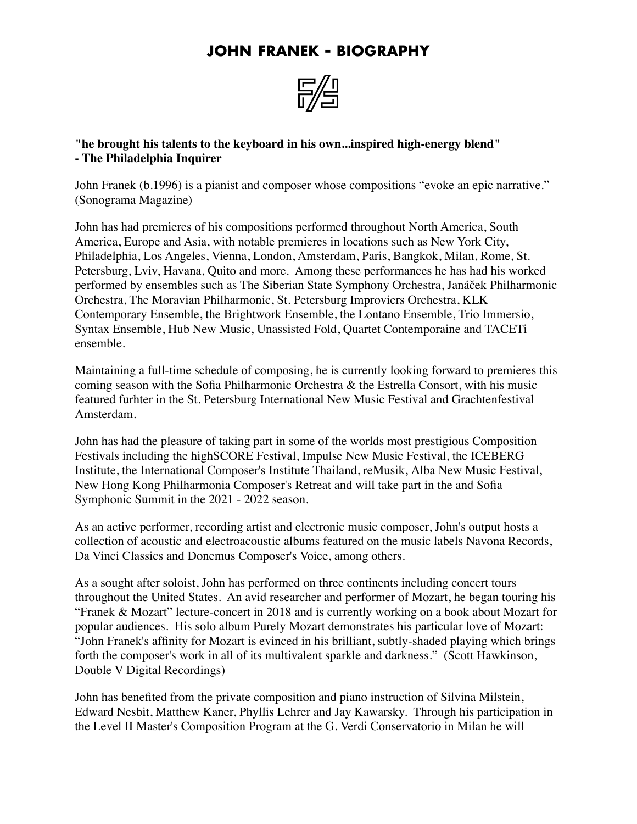## **JOHN FRANEK - BIOGRAPHY**



**"he brought his talents to the keyboard in his own...inspired high-energy blend" - The Philadelphia Inquirer** 

John Franek (b.1996) is a pianist and composer whose compositions "evoke an epic narrative." (Sonograma Magazine)

John has had premieres of his compositions performed throughout North America, South America, Europe and Asia, with notable premieres in locations such as New York City, Philadelphia, Los Angeles, Vienna, London, Amsterdam, Paris, Bangkok, Milan, Rome, St. Petersburg, Lviv, Havana, Quito and more. Among these performances he has had his worked performed by ensembles such as The Siberian State Symphony Orchestra, Janáček Philharmonic Orchestra, The Moravian Philharmonic, St. Petersburg Improviers Orchestra, KLK Contemporary Ensemble, the Brightwork Ensemble, the Lontano Ensemble, Trio Immersio, Syntax Ensemble, Hub New Music, Unassisted Fold, Quartet Contemporaine and TACETi ensemble.

Maintaining a full-time schedule of composing, he is currently looking forward to premieres this coming season with the Sofia Philharmonic Orchestra & the Estrella Consort, with his music featured furhter in the St. Petersburg International New Music Festival and Grachtenfestival Amsterdam.

John has had the pleasure of taking part in some of the worlds most prestigious Composition Festivals including the highSCORE Festival, Impulse New Music Festival, the ICEBERG Institute, the International Composer's Institute Thailand, reMusik, Alba New Music Festival, New Hong Kong Philharmonia Composer's Retreat and will take part in the and Sofia Symphonic Summit in the 2021 - 2022 season.

As an active performer, recording artist and electronic music composer, John's output hosts a collection of acoustic and electroacoustic albums featured on the music labels Navona Records, Da Vinci Classics and Donemus Composer's Voice, among others.

As a sought after soloist, John has performed on three continents including concert tours throughout the United States. An avid researcher and performer of Mozart, he began touring his "Franek & Mozart" lecture-concert in 2018 and is currently working on a book about Mozart for popular audiences. His solo album Purely Mozart demonstrates his particular love of Mozart: "John Franek's affinity for Mozart is evinced in his brilliant, subtly-shaded playing which brings forth the composer's work in all of its multivalent sparkle and darkness." (Scott Hawkinson, Double V Digital Recordings)

John has benefited from the private composition and piano instruction of Silvina Milstein, Edward Nesbit, Matthew Kaner, Phyllis Lehrer and Jay Kawarsky. Through his participation in the Level II Master's Composition Program at the G. Verdi Conservatorio in Milan he will